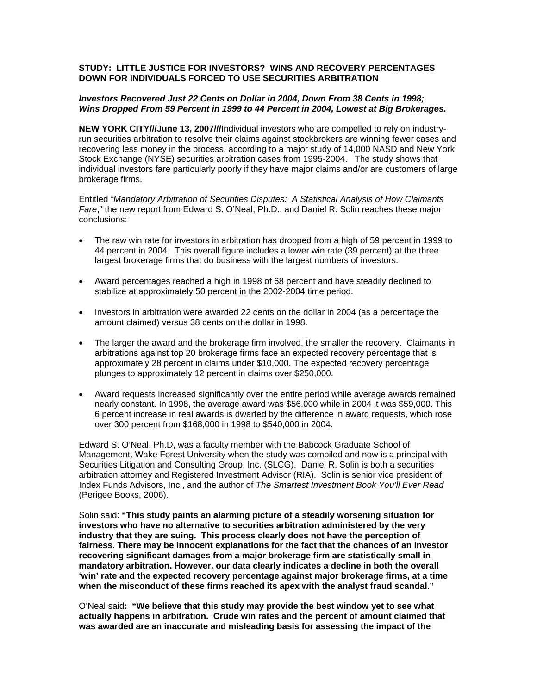## **STUDY: LITTLE JUSTICE FOR INVESTORS? WINS AND RECOVERY PERCENTAGES DOWN FOR INDIVIDUALS FORCED TO USE SECURITIES ARBITRATION**

## *Investors Recovered Just 22 Cents on Dollar in 2004, Down From 38 Cents in 1998; Wins Dropped From 59 Percent in 1999 to 44 Percent in 2004, Lowest at Big Brokerages.*

**NEW YORK CITY///June 13, 2007///**Individual investors who are compelled to rely on industryrun securities arbitration to resolve their claims against stockbrokers are winning fewer cases and recovering less money in the process, according to a major study of 14,000 NASD and New York Stock Exchange (NYSE) securities arbitration cases from 1995-2004. The study shows that individual investors fare particularly poorly if they have major claims and/or are customers of large brokerage firms.

Entitled *"Mandatory Arbitration of Securities Disputes: A Statistical Analysis of How Claimants Fare*," the new report from Edward S. O'Neal, Ph.D., and Daniel R. Solin reaches these major conclusions:

- The raw win rate for investors in arbitration has dropped from a high of 59 percent in 1999 to 44 percent in 2004. This overall figure includes a lower win rate (39 percent) at the three largest brokerage firms that do business with the largest numbers of investors.
- Award percentages reached a high in 1998 of 68 percent and have steadily declined to stabilize at approximately 50 percent in the 2002-2004 time period.
- Investors in arbitration were awarded 22 cents on the dollar in 2004 (as a percentage the amount claimed) versus 38 cents on the dollar in 1998.
- The larger the award and the brokerage firm involved, the smaller the recovery. Claimants in arbitrations against top 20 brokerage firms face an expected recovery percentage that is approximately 28 percent in claims under \$10,000. The expected recovery percentage plunges to approximately 12 percent in claims over \$250,000.
- Award requests increased significantly over the entire period while average awards remained nearly constant. In 1998, the average award was \$56,000 while in 2004 it was \$59,000. This 6 percent increase in real awards is dwarfed by the difference in award requests, which rose over 300 percent from \$168,000 in 1998 to \$540,000 in 2004.

Edward S. O'Neal, Ph.D, was a faculty member with the Babcock Graduate School of Management, Wake Forest University when the study was compiled and now is a principal with Securities Litigation and Consulting Group, Inc. (SLCG). Daniel R. Solin is both a securities arbitration attorney and Registered Investment Advisor (RIA). Solin is senior vice president of Index Funds Advisors, Inc., and the author of *The Smartest Investment Book You'll Ever Read* (Perigee Books, 2006).

Solin said: **"This study paints an alarming picture of a steadily worsening situation for investors who have no alternative to securities arbitration administered by the very industry that they are suing. This process clearly does not have the perception of fairness. There may be innocent explanations for the fact that the chances of an investor recovering significant damages from a major brokerage firm are statistically small in mandatory arbitration. However, our data clearly indicates a decline in both the overall 'win' rate and the expected recovery percentage against major brokerage firms, at a time when the misconduct of these firms reached its apex with the analyst fraud scandal."** 

O'Neal said**: "We believe that this study may provide the best window yet to see what actually happens in arbitration. Crude win rates and the percent of amount claimed that was awarded are an inaccurate and misleading basis for assessing the impact of the**